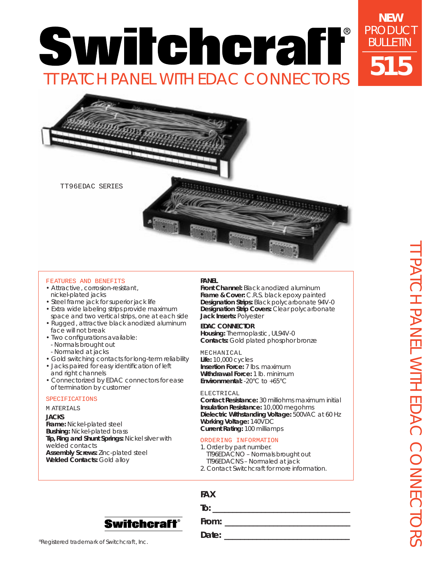# **NEW** PRODUCT Switchcraff® TT PATCH PANEL WITH EDAC CONNECTORS



TT96EDAC SERIES

## FEATURES AND BENEFITS

- Attractive, corrosion-resistant, nickel-plated jacks
- Steel frame jack for superior jack life • Extra wide labeling strips provide maximum
- space and two vertical strips, one at each side • Rugged, attractive black anodized aluminum face will not break
- Two configurations available: - Normals brought out - Normaled at jacks
- Gold switching contacts for long-term reliability
- Jacks paired for easy identification of left and right channels
- Connectorized by EDAC connectors for ease of termination by customer

#### SPECIFICATIONS

### M ATERIALS

**JACKS**

**Frame:** Nickel-plated steel **Bushing:** Nickel-plated brass **Tip, Ring and Shunt Springs:** Nickel silver with welded contacts **Assembly Screws:** Zinc-plated steel **Welded Contacts:** Gold alloy

#### **PANEL**

**Front Channel:** Black anodized aluminum **Frame & Cover:** C.R.S. black epoxy painted **Designation Strips:** Black polycarbonate 94V-0 **Designation Strip Covers:** Clear polycarbonate **Jack Inserts:** Polyester

#### **EDAC CONNECTOR**

**Housing:** Thermoplastic, UL94V-0 **Contacts:** Gold plated phosphor bronze

#### MECHANICAL

**Life:** 10,000 cycles **Insertion Force:** 7 lbs. maximum **Withdrawal Force:** 1 lb. minimum **Environmental:** -20°C to +65°C

#### ELECTRICAL

**Contact Resistance:** 30 milliohms maximum initial **Insulation Resistance:** 10,000 megohms **Dielectric Withstanding Voltage:** 500VAC at 60 Hz **Working Voltage:** 140VDC **Current Rating:** 100 milliamps

#### ORDERING INFORMATION

**To: To: To: To: To: To: To: To: To: To: To: To: To: To: To: To: To: To: To: To: To: To: To: To: To: To: To: To: To: To: To: To: To: To: To: To: To:**

- 1. Order by part number. TT96EDACNO – Normals brought out TT96EDACNS – Normaled at jack
- 2. Contact Switchcraft for more information.

# **FAX**





**From: \_\_\_\_\_\_\_\_\_\_\_\_\_\_\_\_\_\_\_\_\_\_\_\_\_\_\_\_\_\_\_**

®Registered trademark of Switchcraft, Inc.

**Date: \_\_\_\_\_\_\_\_\_\_\_\_\_\_\_\_\_\_\_\_\_\_\_\_\_\_\_\_\_\_\_**